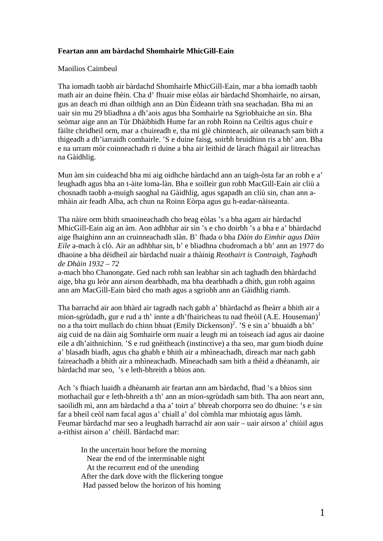## **Feartan ann am bàrdachd Shomhairle MhicGill-Eain**

## Maoilios Caimbeul

Tha iomadh taobh air bàrdachd Shomhairle MhicGill-Eain, mar a bha iomadh taobh math air an duine fhèin. Cha d' fhuair mise eòlas air bàrdachd Shomhairle, no airsan, gus an deach mi dhan oilthigh ann an Dùn Èideann tràth sna seachadan. Bha mi an uair sin mu 29 bliadhna a dh'aois agus bha Somhairle na Sgrìobhaiche an sin. Bha seòmar aige ann an Tùr Dhàibhidh Hume far an robh Roinn na Ceiltis agus chuir e fàilte chridheil orm, mar a chuireadh e, tha mi glè chinnteach, air oileanach sam bith a thigeadh a dh'iarraidh comhairle. 'S e duine faisg, soirbh bruidhinn ris a bh' ann. Bha e na urram mòr coinneachadh ri duine a bha air leithid de làrach fhàgail air litreachas na Gàidhlig.

Mun àm sin cuideachd bha mi aig oidhche bàrdachd ann an taigh-òsta far an robh e a' leughadh agus bha an t-àite loma-làn. Bha e soilleir gun robh MacGill-Eain air cliù a chosnadh taobh a-muigh saoghal na Gàidhlig, agus sgapadh an cliù sin, chan ann amhàin air feadh Alba, ach chun na Roinn Eòrpa agus gu h-eadar-nàiseanta.

Tha nàire orm bhith smaoineachadh cho beag eòlas 's a bha agam air bàrdachd MhicGill-Eain aig an àm. Aon adhbhar air sin 's e cho doirbh 's a bha e a' bhàrdachd aige fhaighinn ann an cruinneachadh slàn. B' fhada o bha *Dàin do Eimhir agus Dàin Eile* a-mach à clò. Air an adhbhar sin, b' e bliadhna chudromach a bh' ann an 1977 do dhaoine a bha dèidheil air bàrdachd nuair a thàinig *Reothairt is Contraigh*, *Taghadh de Dhàin 1932 – 72*

a-mach bho Chanongate. Ged nach robh san leabhar sin ach taghadh den bhàrdachd aige, bha gu leòr ann airson dearbhadh, ma bha dearbhadh a dhìth, gun robh againn ann am MacGill-Eain bàrd cho math agus a sgrìobh ann an Gàidhlig riamh.

Tha barrachd air aon bhàrd air tagradh nach gabh a' bhàrdachd as fheàrr a bhith air a mion-sgrùdadh, gur e rud a th' innte a dh'fhairicheas tu nad fheòil (A.E. Houseman)<sup>1</sup> no a tha toirt mullach do chinn bhuat (Emily Dickenson)<sup>2</sup>. 'S e sin a' bhuaidh a bh' aig cuid de na dàin aig Somhairle orm nuair a leugh mi an toiseach iad agus air daoine eile a dh'aithnichinn. 'S e rud gnèitheach (instinctive) a tha seo, mar gum biodh duine a' blasadh biadh, agus cha ghabh e bhith air a mhìneachadh, dìreach mar nach gabh faireachadh a bhith air a mhìneachadh. Mìneachadh sam bith a thèid a dhèanamh, air bàrdachd mar seo, 's e leth-bhreith a bhios ann.

Ach 's fhiach luaidh a dhèanamh air feartan ann am bàrdachd, fhad 's a bhios sinn mothachail gur e leth-bhreith a th' ann an mion-sgrùdadh sam bith. Tha aon neart ann, saoilidh mi, ann am bàrdachd a tha a' toirt a' bhreab chorporra seo do dhuine: 's e sin far a bheil ceòl nam facal agus a' chiall a' dol còmhla mar mhiotaig agus làmh. Feumar bàrdachd mar seo a leughadh barrachd air aon uair – uair airson a' chiùil agus a-rithist airson a' chèill. Bàrdachd mar:

 In the uncertain hour before the morning Near the end of the interminable night At the recurrent end of the unending After the dark dove with the flickering tongue Had passed below the horizon of his homing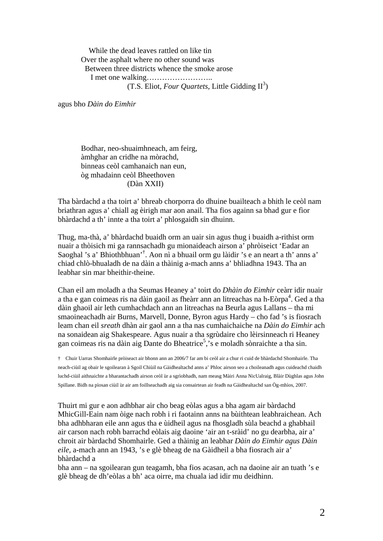While the dead leaves rattled on like tin Over the asphalt where no other sound was Between three districts whence the smoke arose I met one walking……………………..  $(T.S.~Eliot, Four~Quartets, Little Gidding  $\mathbb{H}^3$ )$ 

agus bho *Dàin do Eimhir*

Bodhar, neo-shuaimhneach, am feirg, àmhghar an cridhe na mòrachd, binneas ceòl camhanaich nan eun, òg mhadainn ceòl Bheethoven (Dàn XXII)

Tha bàrdachd a tha toirt a' bhreab chorporra do dhuine buailteach a bhith le ceòl nam briathran agus a' chiall ag èirigh mar aon anail. Tha fios againn sa bhad gur e fìor bhàrdachd a th' innte a tha toirt a' phlosgaidh sin dhuinn.

Thug, ma-thà, a' bhàrdachd buaidh orm an uair sin agus thug i buaidh a-rithist orm nuair a thòisich mi ga rannsachadh gu mionaideach airson a' phròiseict 'Eadar an Saoghal 's a' Bhiothbhuan'† . Aon nì a bhuail orm gu làidir 's e an neart a th' anns a' chiad chlò-bhualadh de na dàin a thàinig a-mach anns a' bhliadhna 1943. Tha an leabhar sin mar bheithir-theine.

Chan eil am moladh a tha Seumas Heaney a' toirt do *Dhàin do Eimhir* ceàrr idir nuair a tha e gan coimeas ris na dàin gaoil as fheàrr ann an litreachas na h-Eòrpa<sup>4</sup>. Ged a tha dàin ghaoil air leth cumhachdach ann an litreachas na Beurla agus Lallans – tha mi smaoineachadh air Burns, Marvell, Donne, Byron agus Hardy – cho fad 's is fiosrach leam chan eil *sreath* dhàn air gaol ann a tha nas cumhaichaiche na *Dàin do Eimhir* ach na sonaidean aig Shakespeare. Agus nuair a tha sgrùdaire cho lèirsinneach ri Heaney gan coimeas ris na dàin aig Dante do Bheatrice<sup>5</sup>, s e moladh sònraichte a tha sin.

† Chuir Uarras Shomhairle pròiseact air bhonn ann an 2006/7 far am bi ceòl air a chur ri cuid de bhàrdachd Shomhairle. Tha neach-ciùil ag obair le sgoilearan à Sgoil Chiùil na Gàidhealtachd anns a' Phloc airson seo a choileanadh agus cuideachd chaidh luchd-ciùil aithnaichte a bharantachadh airson ceòl ùr a sgrìobhadh, nam measg Màiri Anna NicUalraig, Blàir Dùghlas agus John Spillane. Bidh na pìosan ciùil ùr air am foillseachadh aig sia consairtean air feadh na Gàidhealtachd san Òg-mhìos, 2007.

Thuirt mi gur e aon adhbhar air cho beag eòlas agus a bha agam air bàrdachd MhicGill-Eain nam òige nach robh i ri faotainn anns na bùithtean leabhraichean. Ach bha adhbharan eile ann agus tha e ùidheil agus na fhosgladh sùla beachd a ghabhail air carson nach robh barrachd eòlais aig daoine 'air an t-sràid' no gu dearbha, air a' chroit air bàrdachd Shomhairle. Ged a thàinig an leabhar *Dàin do Eimhir agus Dàin eile*, a-mach ann an 1943, 's e glè bheag de na Gàidheil a bha fiosrach air a' bhàrdachd a

bha ann – na sgoilearan gun teagamh, bha fios acasan, ach na daoine air an tuath 's e glè bheag de dh'eòlas a bh' aca oirre, ma chuala iad idir mu deidhinn.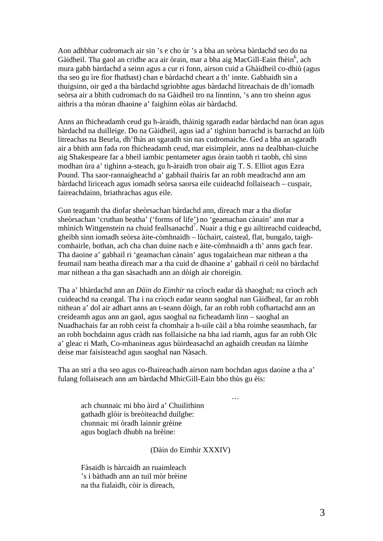Aon adhbhar cudromach air sin 's e cho ùr 's a bha an seòrsa bàrdachd seo do na Gàidheil. Tha gaol an cridhe aca air òrain, mar a bha aig MacGill-Eain fhèin<sup>6</sup>, ach mura gabh bàrdachd a seinn agus a cur ri fonn, airson cuid a Ghàidheil co-dhiù (agus tha seo gu ìre fìor fhathast) chan e bàrdachd cheart a th' innte. Gabhaidh sin a thuigsinn, oir ged a tha bàrdachd sgrìobhte agus bàrdachd litreachais de dh'iomadh seòrsa air a bhith cudromach do na Gàidheil tro na linntinn, 's ann tro sheinn agus aithris a tha mòran dhaoine a' faighinn eòlas air bàrdachd.

Anns an fhicheadamh ceud gu h-àraidh, thàinig sgaradh eadar bàrdachd nan òran agus bàrdachd na duilleige. Do na Gàidheil, agus iad a' tighinn barrachd is barrachd an lùib litreachas na Beurla, dh'fhàs an sgaradh sin nas cudromaiche. Ged a bha an sgaradh air a bhith ann fada ron fhicheadamh ceud, mar eisimpleir, anns na dealbhan-cluiche aig Shakespeare far a bheil iambic pentameter agus òrain taobh ri taobh, chì sinn modhan ùra a' tighinn a-steach, gu h-àraidh tron obair aig T. S. Elliot agus Ezra Pound. Tha saor-rannaigheachd a' gabhail thairis far an robh meadrachd ann am bàrdachd liriceach agus iomadh seòrsa saorsa eile cuideachd follaiseach – cuspair, faireachdainn, briathrachas agus eile.

Gun teagamh tha diofar sheòrsachan bàrdachd ann, dìreach mar a tha diofar sheòrsachan 'cruthan beatha' ('forms of life') no 'geamachan cànain' ann mar a mhìnich Wittgenstein na chuid feallsanachd<sup>7</sup>. Nuair a thig e gu ailtireachd cuideachd, gheibh sinn iomadh seòrsa àite-còmhnaidh – lùchairt, caisteal, flat, bungalo, taighcomhairle, bothan, ach cha chan duine nach e àite-còmhnaidh a th' anns gach fear. Tha daoine a' gabhail ri 'geamachan cànain' agus togalaichean mar nithean a tha feumail nam beatha dìreach mar a tha cuid de dhaoine a' gabhail ri ceòl no bàrdachd mar nithean a tha gan sàsachadh ann an dòigh air choreigin.

Tha a' bhàrdachd ann an *Dàin do Eimhir* na crìoch eadar dà shaoghal; na crìoch ach cuideachd na ceangal. Tha i na crìoch eadar seann saoghal nan Gàidheal, far an robh nithean a' dol air adhart anns an t-seann dòigh, far an robh robh cofhartachd ann an creideamh agus ann an gaol, agus saoghal na ficheadamh linn – saoghal an Nuadhachais far an robh ceist fa chomhair a h-uile càil a bha roimhe seasmhach, far an robh bochdainn agus cràdh nas follaisiche na bha iad riamh, agus far an robh Olc a' gleac ri Math, Co-mhaoineas agus bùirdeasachd an aghaidh creudan na làimhe deise mar faisisteachd agus saoghal nan Nàsach.

Tha an strì a tha seo agus co-fhaireachadh airson nam bochdan agus daoine a tha a' fulang follaiseach ann am bàrdachd MhicGill-Eain bho thùs gu èis:

 ach chunnaic mi bho àird a' Chuilithinn gathadh glòir is breòiteachd duilghe: chunnaic mi òradh lainnir grèine agus boglach dhubh na brèine:

and the contract of the contract of the contract of the contract of the contract of the contract of the contract of

(Dàin do Eimhir XXXIV)

Fàsaidh is bàrcaidh an ruaimleach 's i bàthadh ann an tuil mòr brèine na tha fialaidh, còir is dìreach,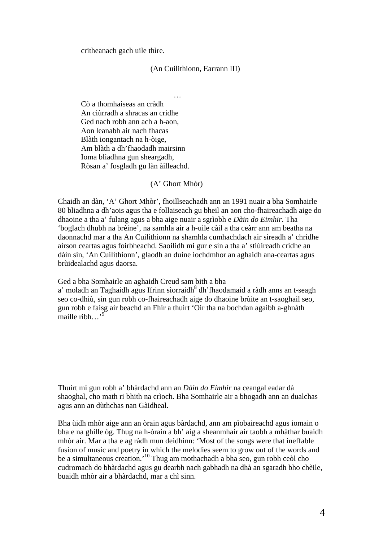critheanach gach uile thìre.

#### (An Cuilithionn, Earrann III)

 Cò a thomhaiseas an cràdh An ciùrradh a shracas an cridhe Ged nach robh ann ach a h-aon, Aon leanabh air nach fhacas Blàth iongantach na h-òige, Am blàth a dh'fhaodadh mairsinn Ioma bliadhna gun sheargadh, Ròsan a' fosgladh gu làn àilleachd.

### (A' Ghort Mhòr)

…

Chaidh an dàn, 'A' Ghort Mhòr', fhoillseachadh ann an 1991 nuair a bha Somhairle 80 bliadhna a dh'aois agus tha e follaiseach gu bheil an aon cho-fhaireachadh aige do dhaoine a tha a' fulang agus a bha aige nuair a sgrìobh e *Dàin do Eimhir*. Tha 'boglach dhubh na brèine', na samhla air a h-uile càil a tha ceàrr ann am beatha na daonnachd mar a tha An Cuilithionn na shamhla cumhachdach air sireadh a' chridhe airson ceartas agus foirbheachd. Saoilidh mi gur e sin a tha a' stiùireadh cridhe an dàin sin, 'An Cuilithionn', glaodh an duine iochdmhor an aghaidh ana-ceartas agus brùidealachd agus daorsa.

Ged a bha Somhairle an aghaidh Creud sam bith a bha

a' moladh an Taghaidh agus Ifrinn sìorraidh<sup>8</sup> dh'fhaodamaid a ràdh anns an t-seagh seo co-dhiù, sin gun robh co-fhaireachadh aige do dhaoine brùite an t-saoghail seo, gun robh e faisg air beachd an Fhir a thuirt 'Oir tha na bochdan agaibh a-ghnàth maille ribh

Thuirt mi gun robh a' bhàrdachd ann an *Dàin do Eimhir* na ceangal eadar dà shaoghal, cho math ri bhith na crìoch. Bha Somhairle air a bhogadh ann an dualchas agus ann an dùthchas nan Gàidheal.

Bha ùidh mhòr aige ann an òrain agus bàrdachd, ann am pìobaireachd agus iomain o bha e na ghille òg. Thug na h-òrain a bh' aig a sheanmhair air taobh a mhàthar buaidh mhòr air. Mar a tha e ag ràdh mun deidhinn: 'Most of the songs were that ineffable fusion of music and poetry in which the melodies seem to grow out of the words and be a simultaneous creation.'10 Thug am mothachadh a bha seo, gun robh ceòl cho cudromach do bhàrdachd agus gu dearbh nach gabhadh na dhà an sgaradh bho chèile, buaidh mhòr air a bhàrdachd, mar a chì sinn.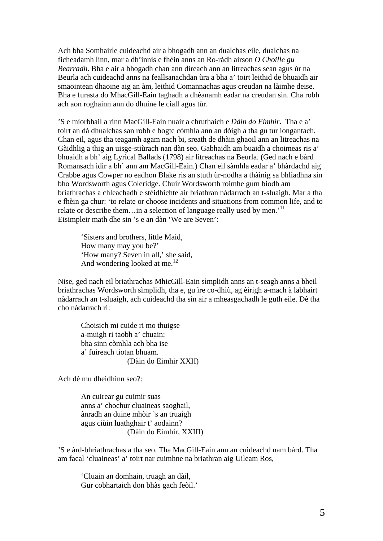Ach bha Somhairle cuideachd air a bhogadh ann an dualchas eile, dualchas na ficheadamh linn, mar a dh'innis e fhèin anns an Ro-ràdh airson *O Choille gu Bearradh*. Bha e air a bhogadh chan ann dìreach ann an litreachas sean agus ùr na Beurla ach cuideachd anns na feallsanachdan ùra a bha a' toirt leithid de bhuaidh air smaointean dhaoine aig an àm, leithid Comannachas agus creudan na làimhe deise. Bha e furasta do MhacGill-Eain taghadh a dhèanamh eadar na creudan sin. Cha robh ach aon roghainn ann do dhuine le ciall agus tùr.

'S e mìorbhail a rinn MacGill-Eain nuair a chruthaich e *Dàin do Eimhir*. Tha e a' toirt an dà dhualchas san robh e bogte còmhla ann an dòigh a tha gu tur iongantach. Chan eil, agus tha teagamh agam nach bi, sreath de dhàin ghaoil ann an litreachas na Gàidhlig a thig an uisge-stiùrach nan dàn seo. Gabhaidh am buaidh a choimeas ris a' bhuaidh a bh' aig Lyrical Ballads (1798) air litreachas na Beurla. (Ged nach e bàrd Romansach idir a bh' ann am MacGill-Eain.) Chan eil sàmhla eadar a' bhàrdachd aig Crabbe agus Cowper no eadhon Blake ris an stuth ùr-nodha a thàinig sa bhliadhna sin bho Wordsworth agus Coleridge. Chuir Wordsworth roimhe gum biodh am briathrachas a chleachadh e stèidhichte air briathran nàdarrach an t-sluaigh. Mar a tha e fhèin ga chur: 'to relate or choose incidents and situations from common life, and to relate or describe them... in a selection of language really used by men.<sup>'11</sup> Eisimpleir math dhe sin 's e an dàn 'We are Seven':

 'Sisters and brothers, little Maid, How many may you be?' 'How many? Seven in all,' she said, And wondering looked at me. $^{12}$ 

Nise, ged nach eil briathrachas MhicGill-Eain sìmplidh anns an t-seagh anns a bheil briathrachas Wordsworth sìmplidh, tha e, gu ìre co-dhiù, ag èirigh a-mach à labhairt nàdarrach an t-sluaigh, ach cuideachd tha sin air a mheasgachadh le guth eile. Dè tha cho nàdarrach ri:

 Choisich mi cuide ri mo thuigse a-muigh ri taobh a' chuain: bha sinn còmhla ach bha ise a' fuireach tiotan bhuam. (Dàin do Eimhir XXII)

Ach dè mu dheidhinn seo?:

 An cuirear gu cuimir suas anns a' chochur cluaineas saoghail, ànradh an duine mhòir 's an truaigh agus ciùin luathghair t' aodainn? (Dàin do Eimhir, XXIII)

'S e àrd-bhriathrachas a tha seo. Tha MacGill-Eain ann an cuideachd nam bàrd. Tha am facal 'cluaineas' a' toirt nar cuimhne na briathran aig Uileam Ros,

 'Cluain an domhain, truagh an dàil, Gur cobhartaich don bhàs gach feòil.'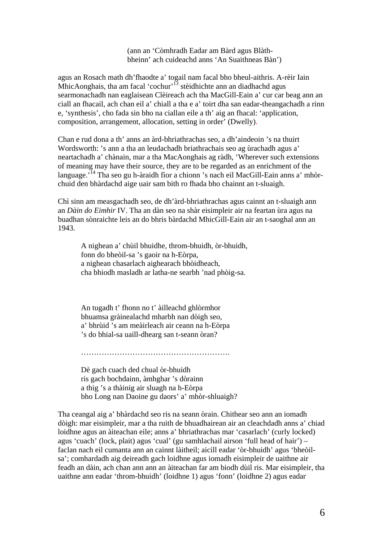(ann an 'Còmhradh Eadar am Bàrd agus Blàthbheinn' ach cuideachd anns 'An Suaithneas Bàn')

agus an Rosach math dh'fhaodte a' togail nam facal bho bheul-aithris. A-rèir Iain MhicAonghais, tha am facal 'cochur'<sup>13</sup> stèidhichte ann an diadhachd agus searmonachadh nan eaglaisean Clèireach ach tha MacGill-Eain a' cur car beag ann an ciall an fhacail, ach chan eil a' chiall a tha e a' toirt dha san eadar-theangachadh a rinn e, 'synthesis', cho fada sin bho na ciallan eile a th' aig an fhacal: 'application, composition, arrangement, allocation, setting in order' (Dwelly).

Chan e rud dona a th' anns an àrd-bhriathrachas seo, a dh'aindeoin 's na thuirt Wordsworth: 's ann a tha an leudachadh briathrachais seo ag ùrachadh agus a' neartachadh a' chànain, mar a tha MacAonghais ag ràdh, 'Wherever such extensions of meaning may have their source, they are to be regarded as an enrichment of the language.'14 Tha seo gu h-àraidh fìor a chionn 's nach eil MacGill-Eain anns a' mhòrchuid den bhàrdachd aige uair sam bith ro fhada bho chainnt an t-sluaigh.

Chì sinn am measgachadh seo, de dh'àrd-bhriathrachas agus cainnt an t-sluaigh ann an *Dàin do Eimhir* IV. Tha an dàn seo na shàr eisimpleir air na feartan ùra agus na buadhan sònraichte leis an do bhris bàrdachd MhicGill-Eain air an t-saoghal ann an 1943.

 A nighean a' chùil bhuidhe, throm-bhuidh, òr-bhuidh, fonn do bheòil-sa 's gaoir na h-Eòrpa, a nighean chasarlach aighearach bhòidheach, cha bhiodh masladh ar latha-ne searbh 'nad phòig-sa.

An tugadh t' fhonn no t' àilleachd ghlòrmhor bhuamsa gràinealachd mharbh nan dòigh seo, a' bhrùid 's am meàirleach air ceann na h-Eòrpa 's do bhial-sa uaill-dhearg san t-seann òran?

………………………………………………….

 Dè gach cuach ded chual òr-bhuidh ris gach bochdainn, àmhghar 's dòrainn a thig 's a thàinig air sluagh na h-Eòrpa bho Long nan Daoine gu daors' a' mhòr-shluaigh?

Tha ceangal aig a' bhàrdachd seo ris na seann òrain. Chithear seo ann an iomadh dòigh: mar eisimpleir, mar a tha ruith de bhuadhairean air an cleachdadh anns a' chiad loidhne agus an àiteachan eile; anns a' bhriathrachas mar 'casarlach' (curly locked) agus 'cuach' (lock, plait) agus 'cual' (gu samhlachail airson 'full head of hair') – faclan nach eil cumanta ann an cainnt làitheil; aicill eadar 'òr-bhuidh' agus 'bheòilsa'; comhardadh aig deireadh gach loidhne agus iomadh eisimpleir de uaithne air feadh an dàin, ach chan ann ann an àiteachan far am biodh dùil ris. Mar eisimpleir, tha uaithne ann eadar 'throm-bhuidh' (loidhne 1) agus 'fonn' (loidhne 2) agus eadar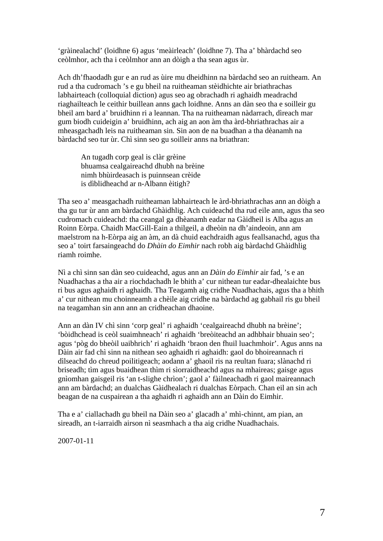'gràinealachd' (loidhne 6) agus 'meàirleach' (loidhne 7). Tha a' bhàrdachd seo ceòlmhor, ach tha i ceòlmhor ann an dòigh a tha sean agus ùr.

Ach dh'fhaodadh gur e an rud as ùire mu dheidhinn na bàrdachd seo an ruitheam. An rud a tha cudromach 's e gu bheil na ruitheaman stèidhichte air briathrachas labhairteach (colloquial diction) agus seo ag obrachadh ri aghaidh meadrachd riaghailteach le ceithir buillean anns gach loidhne. Anns an dàn seo tha e soilleir gu bheil am bard a' bruidhinn ri a leannan. Tha na ruitheaman nàdarrach, dìreach mar gum biodh cuideigin a' bruidhinn, ach aig an aon àm tha àrd-bhriathrachas air a mheasgachadh leis na ruitheaman sin. Sin aon de na buadhan a tha dèanamh na bàrdachd seo tur ùr. Chì sinn seo gu soilleir anns na briathran:

 An tugadh corp geal is clàr grèine bhuamsa cealgaireachd dhubh na brèine nimh bhùirdeasach is puinnsean crèide is dìblidheachd ar n-Albann èitigh?

Tha seo a' measgachadh ruitheaman labhairteach le àrd-bhriathrachas ann an dòigh a tha gu tur ùr ann am bàrdachd Ghàidhlig. Ach cuideachd tha rud eile ann, agus tha seo cudromach cuideachd: tha ceangal ga dhèanamh eadar na Gàidheil is Alba agus an Roinn Eòrpa. Chaidh MacGill-Eain a thilgeil, a dheòin na dh'aindeoin, ann am maelstrom na h-Eòrpa aig an àm, an dà chuid eachdraidh agus feallsanachd, agus tha seo a' toirt farsaingeachd do *Dhàin do Eimhir* nach robh aig bàrdachd Ghàidhlig riamh roimhe.

Nì a chì sinn san dàn seo cuideachd, agus ann an *Dàin do Eimhir* air fad, 's e an Nuadhachas a tha air a riochdachadh le bhith a' cur nithean tur eadar-dhealaichte bus ri bus agus aghaidh ri aghaidh. Tha Teagamh aig cridhe Nuadhachais, agus tha a bhith a' cur nithean mu choinneamh a chèile aig cridhe na bàrdachd ag gabhail ris gu bheil na teagamhan sin ann ann an cridheachan dhaoine.

Ann an dàn IV chì sinn 'corp geal' ri aghaidh 'cealgaireachd dhubh na brèine'; 'bòidhchead is ceòl suaimhneach' ri aghaidh 'breòiteachd an adhbhair bhuain seo'; agus 'pòg do bheòil uaibhrich' ri aghaidh 'braon den fhuil luachmhoir'. Agus anns na Dàin air fad chì sinn na nithean seo aghaidh ri aghaidh: gaol do bhoireannach ri dìlseachd do chreud poilitigeach; aodann a' ghaoil ris na reultan fuara; slànachd ri briseadh; tìm agus buaidhean thìm ri sìorraidheachd agus na mhaireas; gaisge agus gnìomhan gaisgeil ris 'an t-slighe chrìon'; gaol a' fàilneachadh ri gaol maireannach ann am bàrdachd; an dualchas Gàidhealach ri dualchas Eòrpach. Chan eil an sin ach beagan de na cuspairean a tha aghaidh ri aghaidh ann an Dàin do Eimhir.

Tha e a' ciallachadh gu bheil na Dàin seo a' glacadh a' mhì-chinnt, am pian, an sireadh, an t-iarraidh airson nì seasmhach a tha aig cridhe Nuadhachais.

2007-01-11